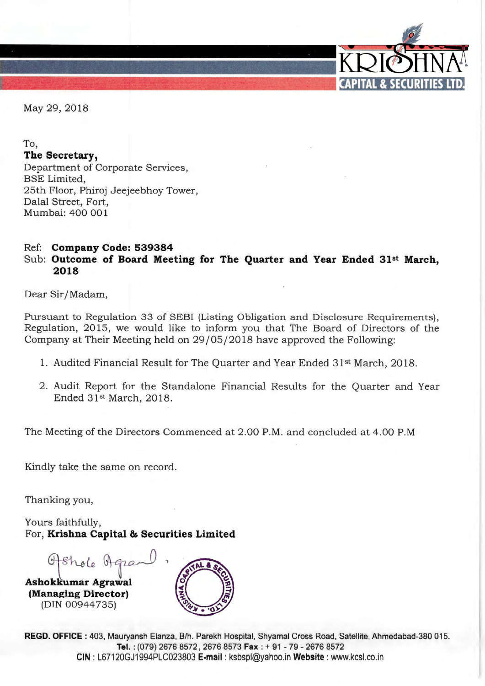

May 29, 2018

## To,

# **The Secretary,**

Department of Corporate Services, BSE Limited, 25th Floor, Phiroj Jeejeebhoy Tower, Dalal Street, Fort, Mumbai: 400 001

## Ref: **Company Code: 539384**  Sub: **Outcome of Board Meeting for The Quarter and Year Ended 31st March, 2018**

Dear Sir/ Madam,

Pursuant to Regulation 33 of SEBI (Listing Obligation and Disclosure Requirements), Regulation, 2015, we would like to inform you that The Board of Directors of the Company at Their Meeting held on 29 / 05/2018 have approved the Following:

- 1. Audited Financial Result for The Quarter and Year Ended 31st March, 2018.
- 2. Audit Report for the Standalone Financial Results for the Quarter and Year Ended 31<sup>st</sup> March, 2018.

The Meeting of the Directors Commenced at 2.00 P.M. and concluded at 4.00 P.M

Kindly take the same on record.

Thanking you,

Yours faithfully, For, **Krishna Capital & Securities Limited** 

Ofshole Agra

**Ashokkumar Agrawal (Managing Director)**  (DIN 00944 735)



**REGD. OFFICE** : 403, Mauryansh Elanza, 8/h. Parekh Hospital, Shyamal Cross Road, Satellite, Ahmedabad-380 015. **Tel.** : (079) 2676 8572 , 2676 8573 **Fax** : + 91 - 79 - 2676 8572 **CIN:** L67120GJ1994PLC023803 **E-mail:** ksbspl@yahoo.inWebsite : www.kcsl.co.in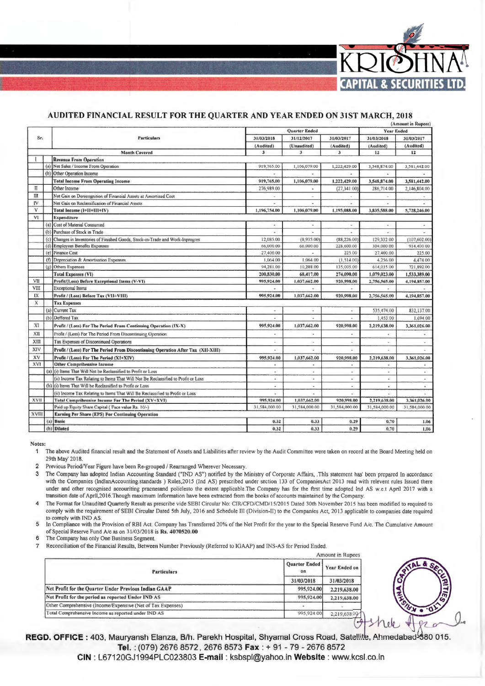

### AUDITED FINANCIAL RESULT FOR THE QUARTER AND YEAR ENDED ON 31ST MARCH, 2018

|              |     |                                                                                   |                          |                         |                         |                   | (Amount in Rupees)       |
|--------------|-----|-----------------------------------------------------------------------------------|--------------------------|-------------------------|-------------------------|-------------------|--------------------------|
|              |     |                                                                                   | <b>Quarter Ended</b>     |                         |                         | <b>Year Ended</b> |                          |
| Sr.          |     | <b>Particulars</b>                                                                | 31/03/2018               | 31/12/2017              | 31/03/2017              | 31/03/2018        | 31/03/2017               |
|              |     |                                                                                   | (Audited)                | (Unaudited)             | (Audited)               | (Audited)         | (Audited)                |
|              |     | <b>Month Covered</b>                                                              | 3                        | $\overline{\mathbf{3}}$ | $\overline{\mathbf{3}}$ | 12                | 12                       |
|              |     | <b>Revenue From Operation</b>                                                     |                          |                         |                         |                   |                          |
|              | (a) | Net Sales / Income From Operation                                                 | 919,765.00               | 1,106,079.00            | 1,222,429.00            | 3,548,874.00      | 3,581,442.00             |
|              |     | (b) Other Operation Income                                                        | ٠                        | ×.                      | w.                      |                   |                          |
|              |     | <b>Total Income From Operating Income</b>                                         | 919,765.00               | 1,106,079.00            | 1,222,429.00            | 3,548,874.00      | 3,581,442.00             |
| $\mathbf{u}$ |     | Other Income                                                                      | 276,989.00               |                         | (27, 341.00)            | 286,714.00        | 2,146,804.00             |
| Ш            |     | Net Gain on Derecognition of Financial Assets at Amortized Cost                   |                          | ٠                       |                         | ×.                |                          |
| IV           |     | Net Gain on Reclassification of Financial Assets                                  |                          | u.                      |                         |                   |                          |
| v            |     | Total Income (I+II+III+IV)                                                        | 1,196,754.00             | 1,106,079.00            | 1,195,088.00            | 3,835,588.00      | 5,728,246.00             |
| VI           |     | <b>Expenditure</b>                                                                |                          |                         |                         |                   |                          |
|              |     | (a) Cost of Material Consumed                                                     | $\blacksquare$           | ä                       |                         | $\bullet$         |                          |
|              |     | (b) Purchase of Stock in Trade                                                    |                          | ä.                      |                         |                   |                          |
|              |     | (c) Changes in Inventories of Finished Goods, Stock-in-Trade and Work-Inprogres   | 12,085.00                | (8,935.00)              | (88, 226.00)            | 129,332.00        | (107, 602.00)            |
|              |     | (d) Employees Benefits Expenses                                                   | 66,000.00                | 66,000.00               | 228,600.00              | 304,000.00        | 914,400.00               |
|              | (e) | <b>Finance Cost</b>                                                               | 27,400.00                |                         | 225.00                  | 27,400.00         | 225.00                   |
|              | (f) | Depreciation & Amortisation Expenses                                              | 1,064.00                 | 1,064.00                | (1, 514.00)             | 4,256 00          | 4,474.00                 |
|              | (g) | Others Expenses                                                                   | 94,281.00                | 10,288.00               | 135,005.00              | 614,035.00        | 721,892.00               |
|              |     | <b>Total Expenses (VI)</b>                                                        | 200,830,00               | 68,417.00               | 274,090.00              | 1,079,023.00      | 1,533,389.00             |
| VII          |     | Profit/(Loss) Before Exceptional Items (V-VI)                                     | 995,924.00               | 1,037,662.00            | 920,998.00              | 2,756,565.00      | 4,194,857.00             |
| VIII         |     | <b>Exceptional Items</b>                                                          |                          |                         |                         |                   |                          |
| IX           |     | Profit / (Loss) Before Tax (VII+VIII)                                             | 995.924.00               | 1,037,662.00            | 920,998,00              | 2,756,565.00      | 4,194,857.00             |
| $\mathbf x$  |     | <b>Tax Expenses</b>                                                               |                          |                         |                         |                   |                          |
|              |     | (a) Current Tax                                                                   | $\bullet$                | ×.                      |                         | 535,474.00        | 832,137.00               |
|              | (b) | Deffered Tax                                                                      |                          |                         |                         | 1,453.00          | 1.694.00                 |
| XI           |     | Profit / (Loss) For The Period From Continuing Operation (IX-X)                   | 995.924.00               | 1.037.662.00            | 920,998.00              | 2,219,638.00      | 3,361,026.00             |
| XII          |     | Profit / (Loss) For The Period From Discontinuing Operation                       | $\overline{a}$           |                         |                         |                   |                          |
| $X\Pi$       |     | Tax Expenses of Discontinued Operations                                           | $\overline{\phantom{a}}$ |                         | ٠                       | $\mathbf{r}$      |                          |
| XIV          |     | Profit / (Loss) For The Period From Discontinuing Operation After Tax (XII-XIII)  |                          |                         |                         |                   |                          |
| XV           |     | Profit / (Loss) For The Period (XI+XIV)                                           | 995,924.00               | 1,037,662.00            | 920,998.00              | 2,219,638.00      | 3,361,026.00             |
| XVI          |     | <b>Other Comprihensive Income</b>                                                 | $\blacksquare$           | $\blacksquare$          | $\sim$                  | $\omega$          |                          |
| XVII         | (a) | (i) Items That Will Not be Reclassified to Profit or Loss                         | ٠                        |                         | $\overline{a}$          | $\alpha$          |                          |
|              |     | (ii) Income Tax Relating to Items That Will Not Be Reclassified to Profit or Loss | $\alpha$                 | $\bullet$               | $\blacksquare$          | à.                | $\overline{\phantom{a}}$ |
|              |     | (b) (i) Items That Will be Reclassified to Profit or Loss                         | $\blacksquare$           | $\ddot{\phantom{a}}$    | ٠                       | $\alpha$          | ×.                       |
|              |     | (ii) Income Tax Relating to Items That Will Be Reclassified to Profit or Loss     |                          |                         |                         |                   |                          |
|              |     | <b>Total Comprihensive Income For The Period (XV+XVI)</b>                         | 995,924.00               | 1.037,662.00            | 920,998.00              | 2,219,638.00      | 3,361,026.00             |
|              |     | Paid up Equity Share Capital ( Face value Rs. 10/-)                               | 31,584,000.00            | 31,584,000.00           | 31.584,000.00           | 31,584,000.00     | 31,584,000.00            |
| <b>XVIII</b> |     | <b>Earning Per Share (EPS) For Continuing Operation</b>                           |                          |                         |                         |                   |                          |
|              | (a) | <b>Basic</b>                                                                      | 0.32                     | 0.33                    | 0.29                    | 0,70              | 1.06                     |
|              |     | (b) Diluted                                                                       | 0,32                     | 0,33                    | 0.29                    | 0.70              | 1,06                     |
|              |     |                                                                                   |                          |                         |                         |                   |                          |

Notes:

The above Audited financial result and the Statement of Assets and Liabilities after review by the Audit Committee were taken on record at the Board Meeting held on  $\mathbf 1$ 29th May' 2018.

 $\overline{2}$ Previous Period/Year Figure have been Re-grouped / Rearranged Wherever Necessary.

The Company has adopted Indian Accounting Standard ("IND AS") notified by the Ministry of Corporate Affairs, .This statement has' been prepared In accordance  $\mathbf{3}$ with the Companies (IndianAccounting.standards) Rules, 2015 (Ind AS) prescribed under section 133 of CompaniesAct 2013 read with relevent rules Issued there under and other recognised accouriting pracnesand policlesto the extent applicable. The Company has for the ftrst time adopted Ind AS w.e.t April 2017 with a transition date of April, 2016. Though maximum Information have been extracted from the books of accounts maintained by the Company.

The Format for Unaudited Quarterly Result as prescribe vide SEBI Circular No: CIR/CFD/CMD/15/2015 Dated 30th November 2015 has been modified to required to  $\overline{\mathbf{4}}$ comply with the requirement of SEBI Circular Dated 5th July, 2016 and Schedule III (Division-II) to the Companies Act, 2013 applicable to companies date required to comply with IND AS.

In Compliance with the Provision of RBI Act. Company has Transferred 20% of the Net Profit for the year to the Special Reserve Fund A/c. The Cumulative Amount 5 of Special Reserve Fund A/c as on 31/03/2018 is Rs. 4070520.00

6 The Company has only One Business Segment.

Reconciliation of the Financial Results, Between Number Previously (Referred to IGAAP) and INS-AS for Period Ended.  $\overline{7}$ 

| <b>Particulars</b>                                          | Quarter Ended<br>on | <b>Year Ended on</b> |  |
|-------------------------------------------------------------|---------------------|----------------------|--|
|                                                             | 31/03/2018          | 31/03/2018           |  |
| Net Profit for the Quarter Under Previous Indian GAAP       | 995,924.00          | 2,219,638.00         |  |
| Net Profit for the period as reported Under IND AS          | 995,924.00          | 2,219,638.00         |  |
| Other Comprehensive (Income/Expensive (Net of Tax Expenses) |                     |                      |  |
| Total Comprehensive Income as reported under IND AS         | 995,924.00          | 2,219,638.00         |  |



REGD. OFFICE: 403, Mauryansh Elanza, B/h. Parekh Hospital, Shyamal Cross Road, Satellite, Ahmedabad-380 015. Tel.: (079) 2676 8572, 2676 8573 Fax: + 91 - 79 - 2676 8572

CIN: L67120GJ1994PLC023803 E-mail: ksbspl@yahoo.in Website: www.kcsl.co.in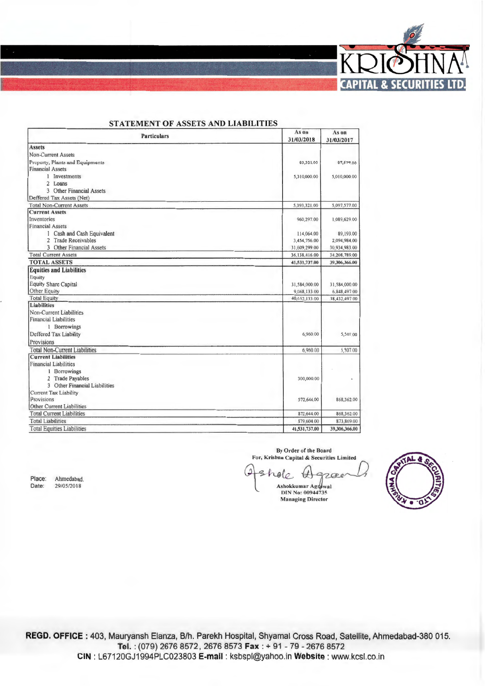

| <b>Particulars</b>                   | As on<br>31/03/2018 | As on<br>31/03/2017 |
|--------------------------------------|---------------------|---------------------|
| <b>Assets</b>                        |                     |                     |
| Non-Current Assets                   |                     |                     |
| Property, Plants and Equipments      | 83,321.00           | 87,577.00           |
| <b>Financial Assets</b>              |                     |                     |
| 1 Investments                        | 5,310,000.00        | 5,010,000.00        |
| 2 Loans                              |                     |                     |
| <b>3</b> Other Financial Assets      |                     |                     |
| Deffered Tax Assets (Net)            |                     |                     |
| <b>Total Non-Current Assets</b>      | 5,393,321.00        | 5,097,577.00        |
| <b>Current Assets</b>                |                     |                     |
| Inventories                          | 960,297.00          | 1,089,629.00        |
| <b>Financial Assets</b>              |                     |                     |
| 1 Cash and Cash Equivalent           | 114,064.00          | 89,193.00           |
| 2 Trade Receivables                  | 3,454,756.00        | 2,094,984.00        |
| 3 Other Financial Assets             | 31,609,299.00       | 30,934,983.00       |
| <b>Total Current Assets</b>          | 36,138,416.00       | 34,208,789.00       |
| <b>TOTAL ASSETS</b>                  | 41,531,737.00       | 39,306,366.00       |
| <b>Equities and Liabilities</b>      |                     |                     |
| Equity                               |                     |                     |
| <b>Equity Share Capital</b>          | 31,584,000.00       | 31,584,000.00       |
| Other Equity                         | 9,068,133.00        | 6,848,497.00        |
| <b>Total Equity</b>                  | 40,652,133 00       | 38,432,497 00       |
| <b>Liabilities</b>                   |                     |                     |
| Non-Current Liabilities              |                     |                     |
| <b>Financial Liabilities</b>         |                     |                     |
| 1 Borrowings                         |                     |                     |
| Deffered Tax Liability               | 6,960.00            | 5,507.00            |
| Provisions                           |                     |                     |
| <b>Total Non-Current Liabilities</b> | 6,960.00            | 5,507.00            |
| <b>Current Liabilities</b>           |                     |                     |
| <b>Financial Liabilities</b>         |                     |                     |
| 1 Borrowings                         |                     |                     |
| 2 Trade Payables                     | 300,000.00          |                     |
| 3 Other Financial Liabilities        |                     |                     |
| <b>Current Tax Liability</b>         |                     |                     |
| Provisions                           | 572,644.00          | 868.362.00          |
| Other Current Liabilities            |                     |                     |
| <b>Total Current Liabilities</b>     | 872,644.00          | 868,362.00          |
| <b>Total Liabilities</b>             | 879,604.00          | 873,869.00          |
| <b>Total Equities Liabilities</b>    | 41,531,737.00       | 39,306,366.00       |

### **CENTRAL ACCEPTATION LATER LATER PERSONAL PROPERTY**

By Order of the Board For, Krishna Capital & Securities Limited  $\omega$ 2

 $460$ ₩  $7000$ Ashokkumar Agrawal<br>DIN No: 00944735 **Managing Director** 

REGD. OFFICE: 403, Mauryansh Elanza, B/h. Parekh Hospital, Shyamal Cross Road, Satellite, Ahmedabad-380 015. Tel.: (079) 2676 8572, 2676 8573 Fax: + 91 - 79 - 2676 8572 CIN: L67120GJ1994PLC023803 E-mail: ksbspl@yahoo.in Website: www.kcsl.co.in

Place: Ahmedabad. Date: 29/05/2018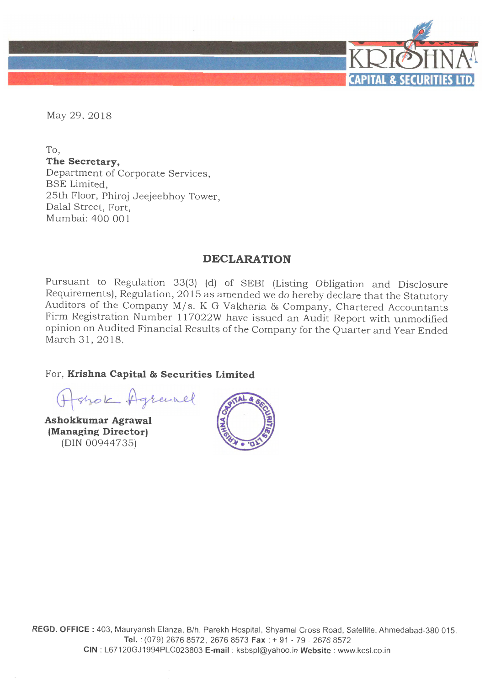

May 29, 2018

To, **The Secretary,**  Department of Corporate Services, BSE Limited, 25th Floor, Phiroj Jeejeebhoy Tower, Dalal Street, Fort, Mumbai: 400 001

# **DECLARATION**

Pursuant to Regulation 33(3) (d) of SEBI (Listing Obligation and Disclosure Requirements), Regulation, 2015 as amended we do hereby declare that the Statutory Auditors of the Company M/s. K G Vakharia & Company, Chartered Accountants Firm Registration Number 117022W have issued an Audit Report with unmodified opinion on Audited Financial Results of the Company for the Quarter and Year Ended March 31, 2018.

For, **Krishna Capital & Securities Limited** 

Ashok Agrand

**Ashokkumar Agrawal (Managing Director)**  (DIN 00944735)

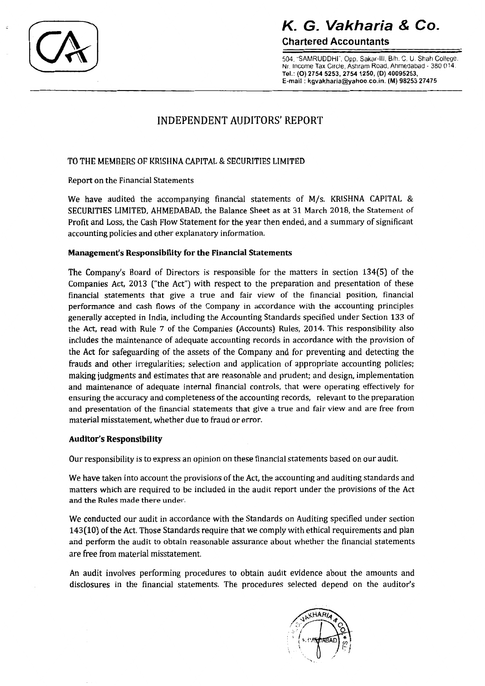$\epsilon$ 

# K G Vakharia & Co.

**Chartered Accountants** 

504, "SAMRUDDHI", Opp. Sakar-III, B/h. C. U. Shah College. Nr. Income Tax Circle, Ashram Road, Ahmedabad - 380 014. Tel.: (O) 2754 5253, 2754 1250, (D) 40095253, E-mail : kgvakharia@yahoo.co.in. (M) 98253 27475

# **INDEPENDENT AUDITORS' REPORT**

## TO THE MEMBERS OF KRISHNA CAPITAL & SECURITIES LIMITED

Report on the Financial Statements

We have audited the accompanying financial statements of M/s. KRISHNA CAPITAL & SECURITIES LIMITED, AHMEDABAD, the Balance Sheet as at 31 March 2018, the Statement of Profit and Loss, the Cash Flow Statement for the year then ended, and a summary of significant accounting policies and other explanatory information.

## Management's Responsibility for the Financial Statements

The Company's Board of Directors is responsible for the matters in section 134(5) of the Companies Act, 2013 ("the Act") with respect to the preparation and presentation of these financial statements that give a true and fair view of the financial position, financial performance and cash flows of the Company in accordance with the accounting principles generally accepted in India, including the Accounting Standards specified under Section 133 of the Act, read with Rule 7 of the Companies (Accounts) Rules, 2014. This responsibility also includes the maintenance of adequate accounting records in accordance with the provision of the Act for safeguarding of the assets of the Company and for preventing and detecting the frauds and other irregularities; selection and application of appropriate accounting policies; making judgments and estimates that are reasonable and prudent; and design, implementation and maintenance of adequate internal financial controls, that were operating effectively for ensuring the accuracy and completeness of the accounting records, relevant to the preparation and presentation of the financial statements that give a true and fair view and are free from material misstatement, whether due to fraud or error.

### **Auditor's Responsibility**

Our responsibility is to express an opinion on these financial statements based on our audit.

We have taken into account the provisions of the Act, the accounting and auditing standards and matters which are required to be included in the audit report under the provisions of the Act and the Rules made there under.

We conducted our audit in accordance with the Standards on Auditing specified under section 143(10) of the Act. Those Standards require that we comply with ethical requirements and plan and perform the audit to obtain reasonable assurance about whether the financial statements are free from material misstatement.

An audit involves performing procedures to obtain audit evidence about the amounts and disclosures in the financial statements. The procedures selected depend on the auditor's

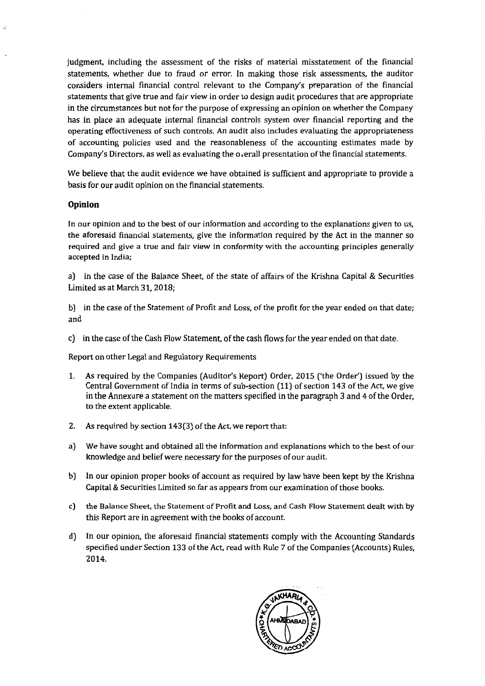judgment, including the assessment of the risks of material misstatement of the financial statements, whether due to fraud or error. In making those risk assessments, the auditor considers internal financial control relevant to the Company's preparation of the financial statements that give true and fair view in order to design audit procedures that are appropriate in the circumstances but not for the purpose of expressing an opinion on whether the Company has in place an adequate internal financial controls system over financial reporting and the operating effectiveness of such controls. An audit also includes evaluating the appropriateness of accounting policies used and the reasonableness of the accounting estimates made by Company's Directors, as well as evaluating the overall presentation of the financial statements.

We believe that the audit evidence we have obtained is sufficient and appropriate to provide a basis for our audit opinion on the financial statements.

#### Opinion

é.

In our opinion and to the best of our information and according to the explanations given to us, the aforesaid financial statements, give the information required by the Act in the manner so required and give a true and fair view in conformity with the accounting principles generally accepted in India;

a) in the case of the Balance Sheet, of the state of affairs of the Krishna Capital & Securities Limited as at March 31, 2018:

b) in the case of the Statement of Profit and Loss, of the profit for the year ended on that date; and

c) in the case of the Cash Flow Statement, of the cash flows for the year ended on that date.

Report on other Legal and Regulatory Requirements

- 1. As required by the Companies (Auditor's Report) Order, 2015 ('the Order') issued by the Central Government of India in terms of sub-section (11) of section 143 of the Act, we give in the Annexure a statement on the matters specified in the paragraph 3 and 4 of the Order. to the extent applicable.
- As required by section 143(3) of the Act, we report that:  $2.$
- a) We have sought and obtained all the information and explanations which to the best of our knowledge and belief were necessary for the purposes of our audit.
- b) In our opinion proper books of account as required by law have been kept by the Krishna Capital & Securities Limited so far as appears from our examination of those books.
- c) the Balance Sheet, the Statement of Profit and Loss, and Cash Flow Statement dealt with by this Report are in agreement with the books of account.
- d) In our opinion, the aforesaid financial statements comply with the Accounting Standards specified under Section 133 of the Act, read with Rule 7 of the Companies (Accounts) Rules, 2014.